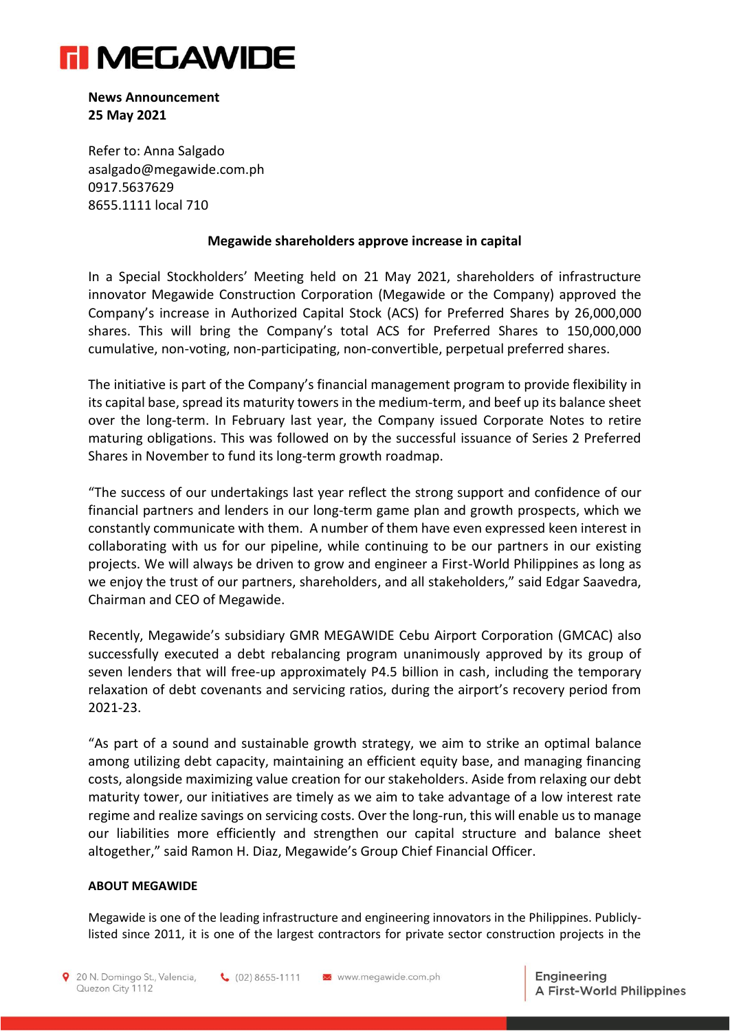

**News Announcement 25 May 2021**

Refer to: Anna Salgado [asalgado@megawide.com.ph](mailto:asalgado@megawide.com.ph) 0917.5637629 8655.1111 local 710

## **Megawide shareholders approve increase in capital**

In a Special Stockholders' Meeting held on 21 May 2021, shareholders of infrastructure innovator Megawide Construction Corporation (Megawide or the Company) approved the Company's increase in Authorized Capital Stock (ACS) for Preferred Shares by 26,000,000 shares. This will bring the Company's total ACS for Preferred Shares to 150,000,000 cumulative, non-voting, non-participating, non-convertible, perpetual preferred shares.

The initiative is part of the Company's financial management program to provide flexibility in its capital base, spread its maturity towers in the medium-term, and beef up its balance sheet over the long-term. In February last year, the Company issued Corporate Notes to retire maturing obligations. This was followed on by the successful issuance of Series 2 Preferred Shares in November to fund its long-term growth roadmap.

"The success of our undertakings last year reflect the strong support and confidence of our financial partners and lenders in our long-term game plan and growth prospects, which we constantly communicate with them. A number of them have even expressed keen interest in collaborating with us for our pipeline, while continuing to be our partners in our existing projects. We will always be driven to grow and engineer a First-World Philippines as long as we enjoy the trust of our partners, shareholders, and all stakeholders," said Edgar Saavedra, Chairman and CEO of Megawide.

Recently, Megawide's subsidiary GMR MEGAWIDE Cebu Airport Corporation (GMCAC) also successfully executed a debt rebalancing program unanimously approved by its group of seven lenders that will free-up approximately P4.5 billion in cash, including the temporary relaxation of debt covenants and servicing ratios, during the airport's recovery period from 2021-23.

"As part of a sound and sustainable growth strategy, we aim to strike an optimal balance among utilizing debt capacity, maintaining an efficient equity base, and managing financing costs, alongside maximizing value creation for our stakeholders. Aside from relaxing our debt maturity tower, our initiatives are timely as we aim to take advantage of a low interest rate regime and realize savings on servicing costs. Over the long-run, this will enable us to manage our liabilities more efficiently and strengthen our capital structure and balance sheet altogether," said Ramon H. Diaz, Megawide's Group Chief Financial Officer.

## **ABOUT MEGAWIDE**

Megawide is one of the leading infrastructure and engineering innovators in the Philippines. Publiclylisted since 2011, it is one of the largest contractors for private sector construction projects in the